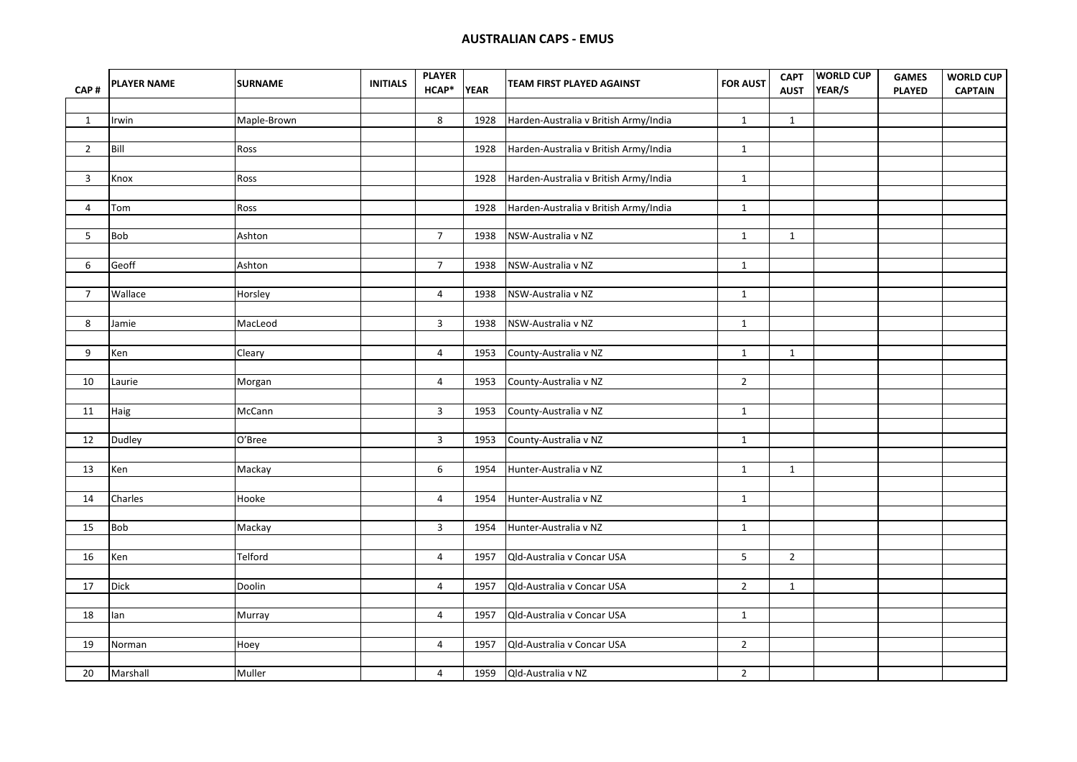## **AUSTRALIAN CAPS - EMUS**

| CAP#           | <b>PLAYER NAME</b> | <b>SURNAME</b> | <b>INITIALS</b> | <b>PLAYER</b><br>HCAP* | <b>YEAR</b> | TEAM FIRST PLAYED AGAINST             | <b>FOR AUST</b> | <b>CAPT</b><br><b>AUST</b> | <b>WORLD CUP</b><br>YEAR/S | <b>GAMES</b><br><b>PLAYED</b> | <b>WORLD CUP</b><br><b>CAPTAIN</b> |
|----------------|--------------------|----------------|-----------------|------------------------|-------------|---------------------------------------|-----------------|----------------------------|----------------------------|-------------------------------|------------------------------------|
|                |                    |                |                 |                        |             |                                       |                 |                            |                            |                               |                                    |
| $\mathbf{1}$   | Irwin              | Maple-Brown    |                 | 8                      | 1928        | Harden-Australia v British Army/India | $\mathbf{1}$    | $\mathbf{1}$               |                            |                               |                                    |
|                |                    |                |                 |                        |             |                                       |                 |                            |                            |                               |                                    |
| $\overline{2}$ | Bill               | Ross           |                 |                        | 1928        | Harden-Australia v British Army/India | $\mathbf{1}$    |                            |                            |                               |                                    |
|                |                    |                |                 |                        |             |                                       |                 |                            |                            |                               |                                    |
| $\mathbf{3}$   | Knox               | Ross           |                 |                        | 1928        | Harden-Australia v British Army/India | $\mathbf{1}$    |                            |                            |                               |                                    |
|                |                    |                |                 |                        |             |                                       |                 |                            |                            |                               |                                    |
| $\overline{4}$ | Tom                | Ross           |                 |                        | 1928        | Harden-Australia v British Army/India | $\mathbf{1}$    |                            |                            |                               |                                    |
|                |                    |                |                 |                        |             |                                       |                 |                            |                            |                               |                                    |
| 5 <sup>1</sup> | Bob                | Ashton         |                 | $\overline{7}$         | 1938        | NSW-Australia v NZ                    | $\mathbf{1}$    | $\mathbf{1}$               |                            |                               |                                    |
|                |                    |                |                 |                        |             |                                       |                 |                            |                            |                               |                                    |
| 6              | Geoff              | Ashton         |                 | $\overline{7}$         | 1938        | NSW-Australia v NZ                    | $\mathbf{1}$    |                            |                            |                               |                                    |
|                |                    |                |                 |                        |             |                                       |                 |                            |                            |                               |                                    |
| $\overline{7}$ | Wallace            | Horsley        |                 | 4                      | 1938        | NSW-Australia v NZ                    | $\mathbf{1}$    |                            |                            |                               |                                    |
|                |                    |                |                 |                        |             |                                       |                 |                            |                            |                               |                                    |
| 8              | Jamie              | MacLeod        |                 | 3                      | 1938        | NSW-Australia v NZ                    | $\mathbf{1}$    |                            |                            |                               |                                    |
|                |                    |                |                 |                        |             |                                       |                 |                            |                            |                               |                                    |
| 9              | Ken                | Cleary         |                 | $\overline{4}$         | 1953        | County-Australia v NZ                 | $\mathbf{1}$    | $\mathbf{1}$               |                            |                               |                                    |
|                |                    |                |                 |                        |             |                                       |                 |                            |                            |                               |                                    |
| 10             | Laurie             | Morgan         |                 | $\overline{4}$         | 1953        | County-Australia v NZ                 | $\overline{2}$  |                            |                            |                               |                                    |
|                |                    |                |                 |                        |             |                                       |                 |                            |                            |                               |                                    |
| 11             | Haig               | McCann         |                 | 3                      | 1953        | County-Australia v NZ                 | $\mathbf{1}$    |                            |                            |                               |                                    |
|                |                    |                |                 |                        |             |                                       |                 |                            |                            |                               |                                    |
| 12             | Dudley             | O'Bree         |                 | 3                      | 1953        | County-Australia v NZ                 | $\mathbf{1}$    |                            |                            |                               |                                    |
|                |                    |                |                 |                        |             |                                       |                 |                            |                            |                               |                                    |
| 13             | Ken                | Mackay         |                 | 6                      | 1954        | Hunter-Australia v NZ                 | $\mathbf{1}$    | $\mathbf{1}$               |                            |                               |                                    |
|                |                    |                |                 |                        |             |                                       |                 |                            |                            |                               |                                    |
| 14             | Charles            | Hooke          |                 | $\overline{4}$         | 1954        | Hunter-Australia v NZ                 | $\mathbf{1}$    |                            |                            |                               |                                    |
|                |                    |                |                 |                        |             |                                       |                 |                            |                            |                               |                                    |
| 15             | Bob                | Mackay         |                 | 3                      | 1954        | Hunter-Australia v NZ                 | $\mathbf{1}$    |                            |                            |                               |                                    |
|                |                    |                |                 |                        |             |                                       |                 |                            |                            |                               |                                    |
| 16             | Ken                | Telford        |                 | 4                      | 1957        | Qld-Australia v Concar USA            | 5               | $\overline{2}$             |                            |                               |                                    |
|                |                    |                |                 |                        |             |                                       |                 |                            |                            |                               |                                    |
| 17             | Dick               | Doolin         |                 | $\overline{4}$         | 1957        | Qld-Australia v Concar USA            | $\overline{2}$  | $\mathbf{1}$               |                            |                               |                                    |
|                |                    |                |                 |                        |             |                                       |                 |                            |                            |                               |                                    |
| 18             | lan                | Murray         |                 | $\overline{4}$         | 1957        | Qld-Australia v Concar USA            | $\mathbf{1}$    |                            |                            |                               |                                    |
|                |                    |                |                 |                        |             |                                       |                 |                            |                            |                               |                                    |
| 19             | Norman             | Hoey           |                 | $\overline{4}$         | 1957        | Qld-Australia v Concar USA            | $\overline{2}$  |                            |                            |                               |                                    |
|                |                    |                |                 |                        |             |                                       |                 |                            |                            |                               |                                    |
| 20             | Marshall           | Muller         |                 | $\overline{4}$         |             | 1959 Qld-Australia v NZ               | $2^{\circ}$     |                            |                            |                               |                                    |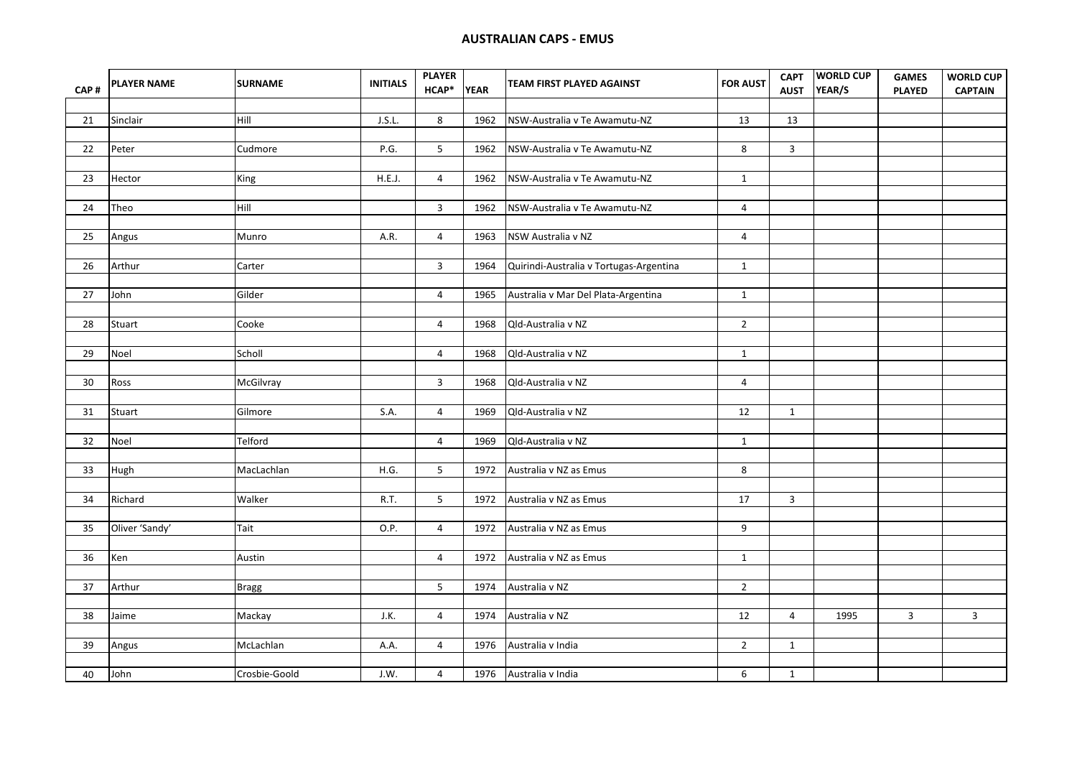| CAP# | <b>PLAYER NAME</b> | <b>SURNAME</b> | <b>INITIALS</b> | <b>PLAYER</b><br>HCAP* | <b>YEAR</b> | TEAM FIRST PLAYED AGAINST               | <b>FOR AUST</b> | <b>CAPT</b><br><b>AUST</b> | <b>WORLD CUP</b><br>YEAR/S | <b>GAMES</b><br><b>PLAYED</b> | <b>WORLD CUP</b><br><b>CAPTAIN</b> |
|------|--------------------|----------------|-----------------|------------------------|-------------|-----------------------------------------|-----------------|----------------------------|----------------------------|-------------------------------|------------------------------------|
|      |                    |                |                 |                        |             |                                         |                 |                            |                            |                               |                                    |
| 21   | Sinclair           | Hill           | J.S.L.          | 8                      | 1962        | NSW-Australia v Te Awamutu-NZ           | 13              | 13                         |                            |                               |                                    |
|      |                    |                |                 |                        |             |                                         |                 |                            |                            |                               |                                    |
| 22   | Peter              | Cudmore        | P.G.            | 5                      | 1962        | NSW-Australia v Te Awamutu-NZ           | 8               | $\mathbf{3}$               |                            |                               |                                    |
|      |                    |                |                 |                        |             |                                         |                 |                            |                            |                               |                                    |
| 23   | Hector             | King           | H.E.J.          | 4                      | 1962        | NSW-Australia v Te Awamutu-NZ           | $\mathbf{1}$    |                            |                            |                               |                                    |
|      |                    |                |                 |                        |             |                                         |                 |                            |                            |                               |                                    |
| 24   | Theo               | Hill           |                 | $\overline{3}$         | 1962        | NSW-Australia v Te Awamutu-NZ           | $\overline{4}$  |                            |                            |                               |                                    |
| 25   |                    | Munro          | A.R.            | 4                      | 1963        | NSW Australia v NZ                      | $\overline{4}$  |                            |                            |                               |                                    |
|      | Angus              |                |                 |                        |             |                                         |                 |                            |                            |                               |                                    |
| 26   | Arthur             | Carter         |                 | 3                      | 1964        | Quirindi-Australia v Tortugas-Argentina | $\mathbf{1}$    |                            |                            |                               |                                    |
|      |                    |                |                 |                        |             |                                         |                 |                            |                            |                               |                                    |
| 27   | John               | Gilder         |                 | $\overline{4}$         | 1965        | Australia v Mar Del Plata-Argentina     | $\mathbf{1}$    |                            |                            |                               |                                    |
|      |                    |                |                 |                        |             |                                         |                 |                            |                            |                               |                                    |
| 28   | Stuart             | Cooke          |                 | $\overline{4}$         | 1968        | Qld-Australia v NZ                      | $2^{\circ}$     |                            |                            |                               |                                    |
|      |                    |                |                 |                        |             |                                         |                 |                            |                            |                               |                                    |
| 29   | Noel               | Scholl         |                 | 4                      | 1968        | Qld-Australia v NZ                      | $\mathbf{1}$    |                            |                            |                               |                                    |
|      |                    |                |                 |                        |             |                                         |                 |                            |                            |                               |                                    |
| 30   | Ross               | McGilvray      |                 | $\mathbf{3}$           | 1968        | Qld-Australia v NZ                      | $\overline{4}$  |                            |                            |                               |                                    |
| 31   | Stuart             | Gilmore        | S.A.            | $\overline{4}$         | 1969        | Qld-Australia v NZ                      | $\overline{12}$ | $\mathbf{1}$               |                            |                               |                                    |
|      |                    |                |                 |                        |             |                                         |                 |                            |                            |                               |                                    |
| 32   | Noel               | Telford        |                 | $\overline{4}$         | 1969        | Qld-Australia v NZ                      | $\mathbf{1}$    |                            |                            |                               |                                    |
|      |                    |                |                 |                        |             |                                         |                 |                            |                            |                               |                                    |
| 33   | Hugh               | MacLachlan     | H.G.            | 5                      | 1972        | Australia v NZ as Emus                  | 8               |                            |                            |                               |                                    |
|      |                    |                |                 |                        |             |                                         |                 |                            |                            |                               |                                    |
| 34   | Richard            | Walker         | R.T.            | 5                      | 1972        | Australia v NZ as Emus                  | 17              | $\overline{3}$             |                            |                               |                                    |
|      |                    |                |                 |                        |             |                                         |                 |                            |                            |                               |                                    |
| 35   | Oliver 'Sandy'     | Tait           | O.P.            | 4                      | 1972        | Australia v NZ as Emus                  | 9               |                            |                            |                               |                                    |
|      |                    |                |                 |                        |             |                                         |                 |                            |                            |                               |                                    |
| 36   | Ken                | Austin         |                 | 4                      | 1972        | Australia v NZ as Emus                  | $\mathbf{1}$    |                            |                            |                               |                                    |
|      |                    |                |                 |                        |             |                                         |                 |                            |                            |                               |                                    |
| 37   | Arthur             | <b>Bragg</b>   |                 | 5 <sup>5</sup>         | 1974        | Australia v NZ                          | $\overline{2}$  |                            |                            |                               |                                    |
| 38   | Jaime              | Mackay         | J.K.            | 4                      | 1974        | Australia v NZ                          | 12              | $\overline{4}$             | 1995                       | $\overline{3}$                | $\mathbf{3}$                       |
|      |                    |                |                 |                        |             |                                         |                 |                            |                            |                               |                                    |
| 39   | Angus              | McLachlan      | A.A.            | 4                      | 1976        | Australia v India                       | $2^{\circ}$     | $\mathbf{1}$               |                            |                               |                                    |
|      |                    |                |                 |                        |             |                                         |                 |                            |                            |                               |                                    |
| 40   | John               | Crosbie-Goold  | J.W.            | 4                      | 1976        | Australia v India                       | 6               | $\mathbf{1}$               |                            |                               |                                    |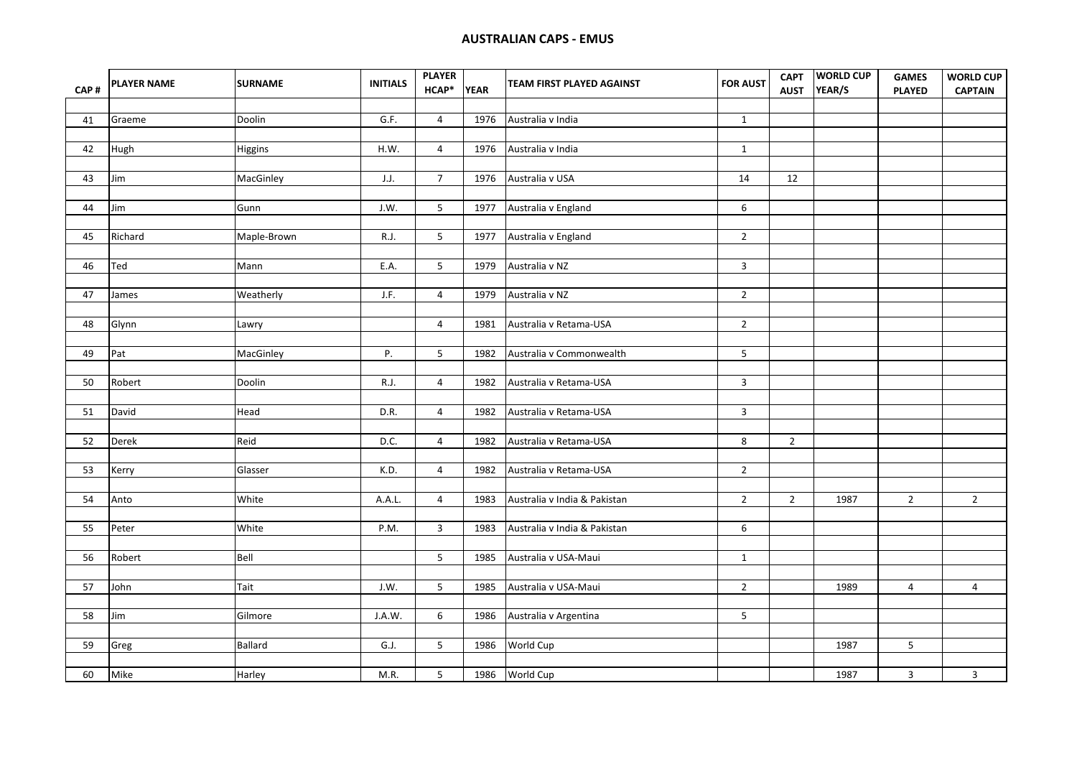| CAP# | <b>PLAYER NAME</b> | <b>SURNAME</b> | <b>INITIALS</b> | <b>PLAYER</b><br>HCAP* | <b>YEAR</b> | TEAM FIRST PLAYED AGAINST    | <b>FOR AUST</b> | <b>AUST</b>    | CAPT WORLD CUP<br>YEAR/S | <b>GAMES</b><br><b>PLAYED</b> | <b>WORLD CUP</b><br><b>CAPTAIN</b> |
|------|--------------------|----------------|-----------------|------------------------|-------------|------------------------------|-----------------|----------------|--------------------------|-------------------------------|------------------------------------|
|      |                    |                |                 |                        |             |                              |                 |                |                          |                               |                                    |
| 41   | Graeme             | Doolin         | G.F.            | $\overline{4}$         | 1976        | Australia v India            | $\mathbf{1}$    |                |                          |                               |                                    |
|      |                    |                |                 |                        |             |                              |                 |                |                          |                               |                                    |
| 42   | Hugh               | Higgins        | H.W.            | $\overline{4}$         | 1976        | Australia v India            | $\mathbf{1}$    |                |                          |                               |                                    |
|      |                    |                |                 |                        |             |                              |                 |                |                          |                               |                                    |
| 43   | Jim                | MacGinley      | J.J.            | $\overline{7}$         | 1976        | Australia v USA              | 14              | 12             |                          |                               |                                    |
| 44   | Jim                | Gunn           | J.W.            | 5                      | 1977        | Australia v England          | 6               |                |                          |                               |                                    |
|      |                    |                |                 |                        |             |                              |                 |                |                          |                               |                                    |
| 45   | Richard            | Maple-Brown    | R.J.            | 5                      | 1977        | Australia v England          | $\overline{2}$  |                |                          |                               |                                    |
|      |                    |                |                 |                        |             |                              |                 |                |                          |                               |                                    |
| 46   | Ted                | Mann           | E.A.            | 5                      | 1979        | Australia v NZ               | $\mathbf{3}$    |                |                          |                               |                                    |
|      |                    |                |                 |                        |             |                              |                 |                |                          |                               |                                    |
| 47   | James              | Weatherly      | J.F.            | $\overline{4}$         | 1979        | Australia v NZ               | $\overline{2}$  |                |                          |                               |                                    |
|      |                    |                |                 |                        |             |                              |                 |                |                          |                               |                                    |
| 48   | Glynn              | Lawry          |                 | $\overline{4}$         | 1981        | Australia v Retama-USA       | $\overline{2}$  |                |                          |                               |                                    |
|      |                    |                |                 |                        |             |                              |                 |                |                          |                               |                                    |
| 49   | Pat                | MacGinley      | Ρ.              | 5                      | 1982        | Australia v Commonwealth     | 5 <sub>1</sub>  |                |                          |                               |                                    |
|      |                    |                |                 |                        |             |                              |                 |                |                          |                               |                                    |
| 50   | Robert             | Doolin         | R.J.            | 4                      | 1982        | Australia v Retama-USA       | $\mathbf{3}$    |                |                          |                               |                                    |
|      |                    |                |                 |                        |             |                              |                 |                |                          |                               |                                    |
| 51   | David              | Head           | D.R.            | $\overline{4}$         | 1982        | Australia v Retama-USA       | $\mathbf{3}$    |                |                          |                               |                                    |
| 52   | Derek              | Reid           | D.C.            | $\overline{4}$         | 1982        | Australia v Retama-USA       | $\bf 8$         | $\overline{2}$ |                          |                               |                                    |
|      |                    |                |                 |                        |             |                              |                 |                |                          |                               |                                    |
| 53   | Kerry              | Glasser        | K.D.            | $\overline{4}$         | 1982        | Australia v Retama-USA       | $2^{\circ}$     |                |                          |                               |                                    |
|      |                    |                |                 |                        |             |                              |                 |                |                          |                               |                                    |
| 54   | Anto               | White          | A.A.L.          | $\overline{4}$         | 1983        | Australia v India & Pakistan | $\overline{2}$  | $\overline{2}$ | 1987                     | $\overline{2}$                | $\overline{2}$                     |
|      |                    |                |                 |                        |             |                              |                 |                |                          |                               |                                    |
| 55   | Peter              | White          | P.M.            | 3                      | 1983        | Australia v India & Pakistan | 6               |                |                          |                               |                                    |
|      |                    |                |                 |                        |             |                              |                 |                |                          |                               |                                    |
| 56   | Robert             | Bell           |                 | 5                      | 1985        | Australia v USA-Maui         | $\mathbf 1$     |                |                          |                               |                                    |
|      |                    |                |                 |                        |             |                              |                 |                |                          |                               |                                    |
| 57   | John               | Tait           | J.W.            | 5                      | 1985        | Australia v USA-Maui         | $\overline{2}$  |                | 1989                     | $\overline{a}$                | $\overline{4}$                     |
|      |                    |                |                 |                        |             |                              |                 |                |                          |                               |                                    |
| 58   | Jim                | Gilmore        | J.A.W.          | 6                      | 1986        | Australia v Argentina        | 5 <sup>1</sup>  |                |                          |                               |                                    |
|      |                    |                |                 |                        |             |                              |                 |                |                          |                               |                                    |
| 59   | Greg               | Ballard        | G.J.            | 5                      | 1986        | World Cup                    |                 |                | 1987                     | $5\phantom{.0}$               |                                    |
|      |                    |                |                 |                        |             |                              |                 |                |                          |                               |                                    |
| 60   | Mike               | Harley         | M.R.            | 5                      |             | 1986 World Cup               |                 |                | 1987                     | $\mathbf{3}$                  | $\mathbf{3}$                       |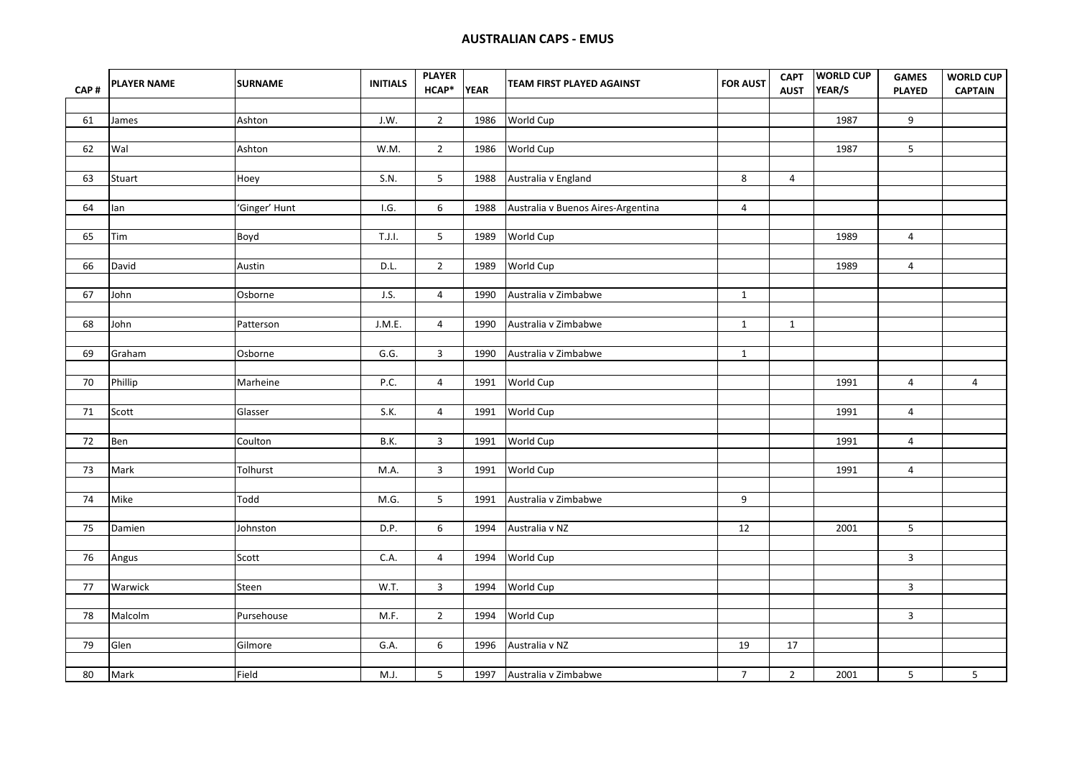| CAP# | <b>PLAYER NAME</b> | <b>SURNAME</b> | <b>INITIALS</b> | <b>PLAYER</b><br>HCAP* | <b>YEAR</b> | TEAM FIRST PLAYED AGAINST          | <b>FOR AUST</b> | <b>CAPT</b><br><b>AUST</b> | <b>WORLD CUP</b><br>YEAR/S | <b>GAMES</b><br><b>PLAYED</b> | <b>WORLD CUP</b><br><b>CAPTAIN</b> |
|------|--------------------|----------------|-----------------|------------------------|-------------|------------------------------------|-----------------|----------------------------|----------------------------|-------------------------------|------------------------------------|
|      |                    |                |                 |                        |             |                                    |                 |                            |                            |                               |                                    |
| 61   | James              | Ashton         | J.W.            | $\overline{2}$         | 1986        | World Cup                          |                 |                            | 1987                       | 9                             |                                    |
|      |                    |                |                 |                        |             |                                    |                 |                            |                            |                               |                                    |
| 62   | Wal                | Ashton         | W.M.            | $\overline{2}$         | 1986        | World Cup                          |                 |                            | 1987                       | 5                             |                                    |
|      |                    |                |                 |                        |             |                                    |                 |                            |                            |                               |                                    |
| 63   | Stuart             | Hoey           | S.N.            | 5                      | 1988        | Australia v England                | 8               | $\overline{4}$             |                            |                               |                                    |
| 64   | lan                | 'Ginger' Hunt  | I.G.            | 6                      | 1988        | Australia v Buenos Aires-Argentina | $\overline{4}$  |                            |                            |                               |                                    |
|      |                    |                |                 |                        |             |                                    |                 |                            |                            |                               |                                    |
| 65   | Tim                | Boyd           | T.J.I.          | 5                      | 1989        | World Cup                          |                 |                            | 1989                       | $\overline{4}$                |                                    |
|      |                    |                |                 |                        |             |                                    |                 |                            |                            |                               |                                    |
| 66   | David              | Austin         | D.L.            | $\overline{2}$         | 1989        | World Cup                          |                 |                            | 1989                       | $\overline{4}$                |                                    |
| 67   | John               | Osborne        | J.S.            | $\overline{4}$         | 1990        | Australia v Zimbabwe               | $\mathbf{1}$    |                            |                            |                               |                                    |
|      |                    |                |                 |                        |             |                                    |                 |                            |                            |                               |                                    |
| 68   | John               | Patterson      | J.M.E.          | $\overline{4}$         | 1990        | Australia v Zimbabwe               | $\mathbf{1}$    | $\mathbf{1}$               |                            |                               |                                    |
|      |                    |                |                 |                        |             |                                    |                 |                            |                            |                               |                                    |
| 69   | Graham             | Osborne        | G.G.            | $\mathbf{3}$           | 1990        | Australia v Zimbabwe               | $\mathbf{1}$    |                            |                            |                               |                                    |
|      |                    |                |                 |                        |             |                                    |                 |                            |                            |                               |                                    |
| 70   | Phillip            | Marheine       | P.C.            | $\overline{4}$         | 1991        | World Cup                          |                 |                            | 1991                       | $\overline{4}$                | $\overline{4}$                     |
|      | Scott              |                | S.K.            | $\overline{4}$         |             | World Cup                          |                 |                            | 1991                       | $\overline{4}$                |                                    |
| 71   |                    | Glasser        |                 |                        | 1991        |                                    |                 |                            |                            |                               |                                    |
| 72   | Ben                | Coulton        | B.K.            | $\mathbf{3}$           | 1991        | World Cup                          |                 |                            | 1991                       | $\overline{4}$                |                                    |
|      |                    |                |                 |                        |             |                                    |                 |                            |                            |                               |                                    |
| 73   | Mark               | Tolhurst       | M.A.            | $\mathbf{3}$           | 1991        | World Cup                          |                 |                            | 1991                       | $\overline{4}$                |                                    |
|      |                    |                |                 |                        |             |                                    |                 |                            |                            |                               |                                    |
| 74   | Mike               | Todd           | M.G.            | 5                      | 1991        | Australia v Zimbabwe               | 9               |                            |                            |                               |                                    |
|      |                    |                |                 |                        |             |                                    |                 |                            |                            |                               |                                    |
| 75   | Damien             | Johnston       | D.P.            | 6                      | 1994        | Australia v NZ                     | 12              |                            | 2001                       | 5                             |                                    |
|      |                    |                |                 |                        |             |                                    |                 |                            |                            |                               |                                    |
| 76   | Angus              | Scott          | C.A.            | $\overline{4}$         | 1994        | World Cup                          |                 |                            |                            | $\overline{3}$                |                                    |
|      |                    |                |                 |                        |             |                                    |                 |                            |                            |                               |                                    |
| $77$ | Warwick            | Steen          | W.T.            | 3                      | 1994        | World Cup                          |                 |                            |                            | $\overline{3}$                |                                    |
| 78   | Malcolm            | Pursehouse     | M.F.            | $\overline{2}$         | 1994        | World Cup                          |                 |                            |                            | $\overline{3}$                |                                    |
|      |                    |                |                 |                        |             |                                    |                 |                            |                            |                               |                                    |
| 79   | Glen               | Gilmore        | G.A.            | 6                      | 1996        | Australia v NZ                     | 19              | 17                         |                            |                               |                                    |
|      |                    |                |                 |                        |             |                                    |                 |                            |                            |                               |                                    |
| 80   | Mark               | Field          | M.J.            | 5                      |             | 1997 Australia v Zimbabwe          | 7 <sup>7</sup>  | $\overline{2}$             | 2001                       | 5 <sub>5</sub>                | 5 <sub>1</sub>                     |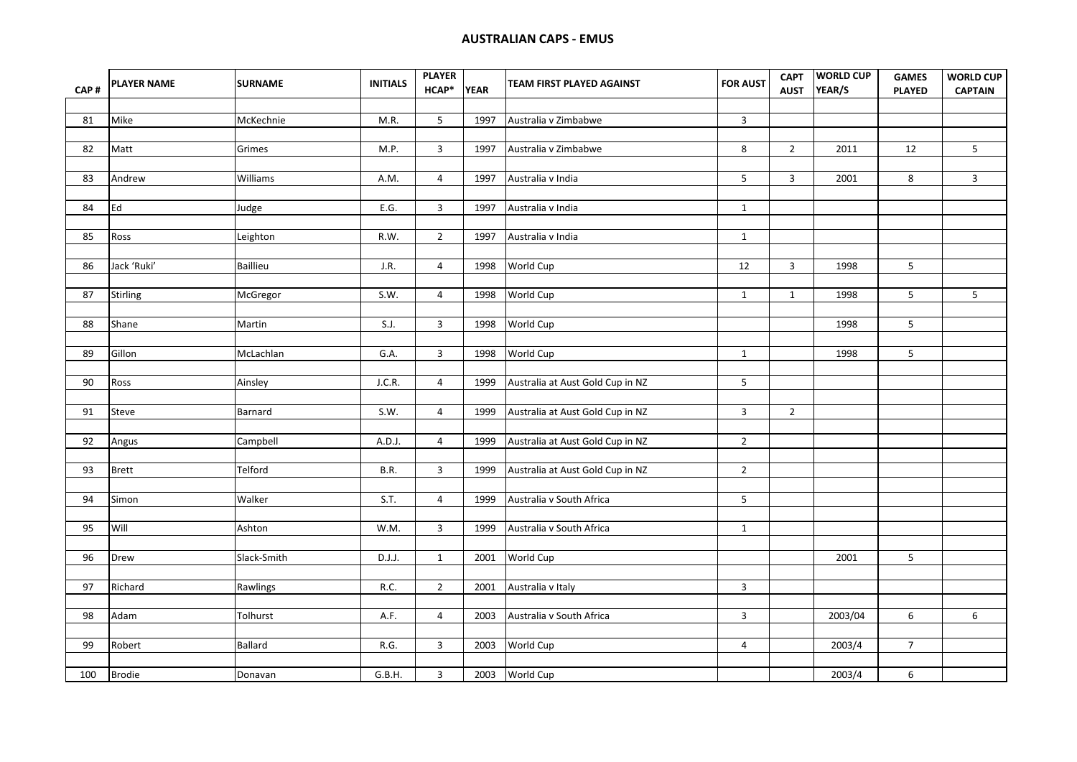| CAP# | <b>PLAYER NAME</b> | <b>SURNAME</b> | <b>INITIALS</b> | <b>PLAYER</b><br>HCAP* | <b>YEAR</b> | TEAM FIRST PLAYED AGAINST        | <b>FOR AUST</b> | <b>CAPT</b><br><b>AUST</b> | <b>WORLD CUP</b><br>YEAR/S | <b>GAMES</b><br><b>PLAYED</b> | <b>WORLD CUP</b><br><b>CAPTAIN</b> |
|------|--------------------|----------------|-----------------|------------------------|-------------|----------------------------------|-----------------|----------------------------|----------------------------|-------------------------------|------------------------------------|
|      |                    |                |                 |                        |             |                                  |                 |                            |                            |                               |                                    |
| 81   | Mike               | McKechnie      | M.R.            | 5                      | 1997        | Australia v Zimbabwe             | $\mathbf{3}$    |                            |                            |                               |                                    |
|      |                    |                |                 |                        |             |                                  |                 |                            |                            |                               |                                    |
| 82   | Matt               | Grimes         | M.P.            | $\mathbf{3}$           | 1997        | Australia v Zimbabwe             | 8               | $\overline{2}$             | 2011                       | 12                            | $5\phantom{a}$                     |
|      |                    |                |                 |                        |             |                                  |                 |                            |                            |                               |                                    |
| 83   | Andrew             | Williams       | A.M.            | $\overline{4}$         | 1997        | Australia v India                | 5               | $\overline{3}$             | 2001                       | 8                             | $\mathbf{3}$                       |
|      |                    |                |                 |                        |             |                                  |                 |                            |                            |                               |                                    |
| 84   | Ed                 | Judge          | E.G.            | $\overline{3}$         | 1997        | Australia v India                | $\mathbf{1}$    |                            |                            |                               |                                    |
|      |                    |                |                 |                        |             |                                  |                 |                            |                            |                               |                                    |
| 85   | Ross               | Leighton       | R.W.            | $\overline{2}$         | 1997        | Australia v India                | $\mathbf{1}$    |                            |                            |                               |                                    |
| 86   | Jack 'Ruki'        | Baillieu       | J.R.            | 4                      | 1998        | World Cup                        | $12\,$          | 3                          | 1998                       | 5                             |                                    |
|      |                    |                |                 |                        |             |                                  |                 |                            |                            |                               |                                    |
| 87   | Stirling           | McGregor       | S.W.            | $\overline{4}$         | 1998        | World Cup                        | $\mathbf{1}$    | $\mathbf{1}$               | 1998                       | 5                             | 5 <sub>1</sub>                     |
|      |                    |                |                 |                        |             |                                  |                 |                            |                            |                               |                                    |
| 88   | Shane              | Martin         | S.J.            | $\mathbf{3}$           | 1998        | World Cup                        |                 |                            | 1998                       | 5 <sup>1</sup>                |                                    |
|      |                    |                |                 |                        |             |                                  |                 |                            |                            |                               |                                    |
| 89   | Gillon             | McLachlan      | G.A.            | $\mathbf{3}$           | 1998        | World Cup                        | $\mathbf{1}$    |                            | 1998                       | 5                             |                                    |
|      |                    |                |                 |                        |             |                                  |                 |                            |                            |                               |                                    |
| 90   | Ross               | Ainsley        | J.C.R.          | $\overline{4}$         | 1999        | Australia at Aust Gold Cup in NZ | 5 <sub>1</sub>  |                            |                            |                               |                                    |
| 91   | Steve              | Barnard        | S.W.            | $\overline{4}$         | 1999        | Australia at Aust Gold Cup in NZ | $\mathbf{3}$    | $\overline{2}$             |                            |                               |                                    |
|      |                    |                |                 |                        |             |                                  |                 |                            |                            |                               |                                    |
| 92   | Angus              | Campbell       | A.D.J.          | $\overline{a}$         | 1999        | Australia at Aust Gold Cup in NZ | $\overline{2}$  |                            |                            |                               |                                    |
|      |                    |                |                 |                        |             |                                  |                 |                            |                            |                               |                                    |
| 93   | <b>Brett</b>       | Telford        | B.R.            | $\mathbf{3}$           | 1999        | Australia at Aust Gold Cup in NZ | $\overline{2}$  |                            |                            |                               |                                    |
|      |                    |                |                 |                        |             |                                  |                 |                            |                            |                               |                                    |
| 94   | Simon              | Walker         | S.T.            | $\overline{4}$         | 1999        | Australia v South Africa         | 5               |                            |                            |                               |                                    |
|      |                    |                |                 |                        |             |                                  |                 |                            |                            |                               |                                    |
| 95   | Will               | Ashton         | W.M.            | 3                      | 1999        | Australia v South Africa         | $\mathbf{1}$    |                            |                            |                               |                                    |
|      |                    |                |                 |                        |             |                                  |                 |                            |                            |                               |                                    |
| 96   | Drew               | Slack-Smith    | D.J.J.          | $\mathbf{1}$           | 2001        | World Cup                        |                 |                            | 2001                       | 5                             |                                    |
| 97   | Richard            | Rawlings       | R.C.            | $\overline{2}$         | 2001        | Australia v Italy                | $\mathbf{3}$    |                            |                            |                               |                                    |
|      |                    |                |                 |                        |             |                                  |                 |                            |                            |                               |                                    |
| 98   | Adam               | Tolhurst       | A.F.            | $\overline{4}$         | 2003        | Australia v South Africa         | $\mathbf{3}$    |                            | 2003/04                    | 6                             | $\boldsymbol{6}$                   |
|      |                    |                |                 |                        |             |                                  |                 |                            |                            |                               |                                    |
| 99   | Robert             | Ballard        | R.G.            | $\mathbf{3}$           | 2003        | World Cup                        | $\overline{a}$  |                            | 2003/4                     | 7 <sup>7</sup>                |                                    |
|      |                    |                |                 |                        |             |                                  |                 |                            |                            |                               |                                    |
| 100  | <b>Brodie</b>      | Donavan        | G.B.H.          | $\mathbf{3}$           | 2003        | World Cup                        |                 |                            | 2003/4                     | 6                             |                                    |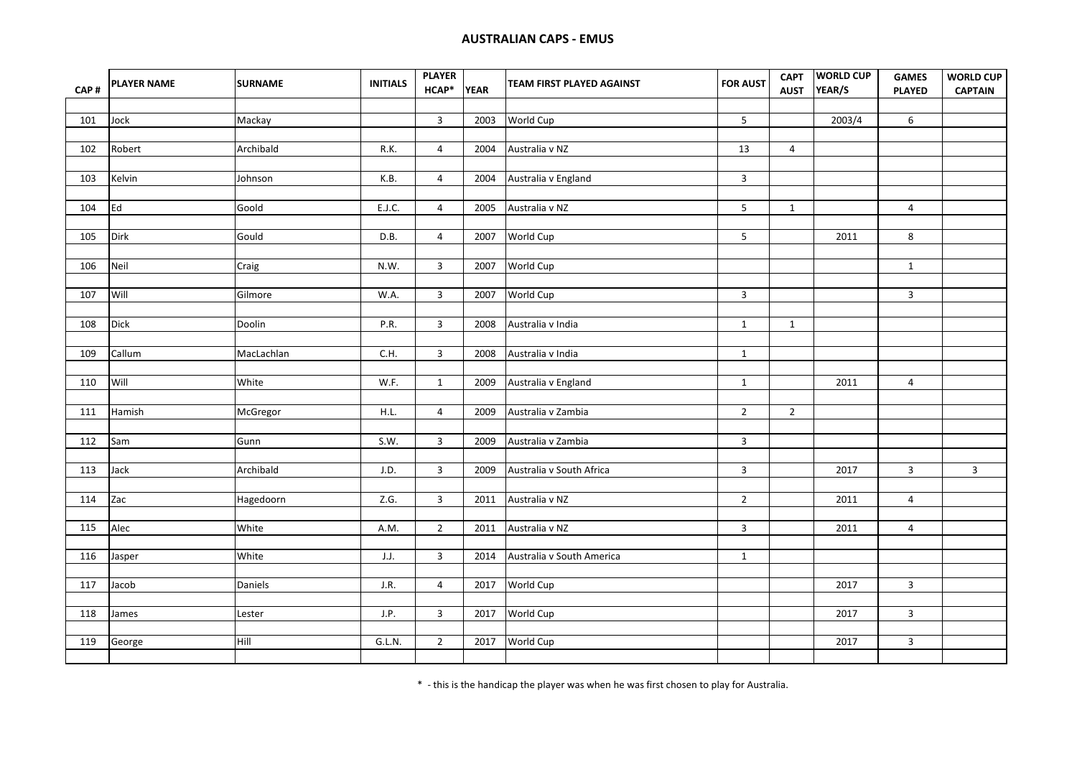|                   | <b>PLAYER NAME</b> | <b>SURNAME</b> | <b>INITIALS</b> | <b>PLAYER</b><br>HCAP* | <b>YEAR</b> | TEAM FIRST PLAYED AGAINST | <b>FOR AUST</b> | <b>CAPT</b>    | <b>WORLD CUP</b> | <b>GAMES</b>   | <b>WORLD CUP</b> |
|-------------------|--------------------|----------------|-----------------|------------------------|-------------|---------------------------|-----------------|----------------|------------------|----------------|------------------|
| CAP#              |                    |                |                 |                        |             |                           |                 | <b>AUST</b>    | YEAR/S           | <b>PLAYED</b>  | <b>CAPTAIN</b>   |
| 101               | Jock               | Mackay         |                 | $\overline{3}$         | 2003        | World Cup                 | 5               |                | 2003/4           | 6              |                  |
|                   |                    |                |                 |                        |             |                           |                 |                |                  |                |                  |
| 102               | Robert             | Archibald      | R.K.            | $\overline{4}$         | 2004        | Australia v NZ            | 13              | $\overline{4}$ |                  |                |                  |
|                   |                    |                |                 |                        |             |                           |                 |                |                  |                |                  |
| 103               | Kelvin             | Johnson        | K.B.            | 4                      | 2004        | Australia v England       | $\mathbf{3}$    |                |                  |                |                  |
|                   |                    |                |                 |                        |             |                           |                 |                |                  |                |                  |
| 104               | Ed                 | Goold          | E.J.C.          | 4                      | 2005        | Australia v NZ            | 5               | $\mathbf{1}$   |                  | $\overline{4}$ |                  |
|                   |                    |                |                 |                        |             |                           |                 |                |                  |                |                  |
| 105               | Dirk               | Gould          | D.B.            | 4                      | 2007        | World Cup                 | 5               |                | 2011             | 8              |                  |
|                   |                    |                |                 |                        |             |                           |                 |                |                  |                |                  |
| 106               | Neil               | Craig          | N.W.            | $\mathbf{3}$           | 2007        | World Cup                 |                 |                |                  | $\mathbf{1}$   |                  |
|                   |                    |                |                 |                        |             |                           |                 |                |                  |                |                  |
| 107               | Will               | Gilmore        | W.A.            | 3                      | 2007        | World Cup                 | 3               |                |                  | $\mathbf{3}$   |                  |
|                   |                    |                |                 |                        |             |                           |                 |                |                  |                |                  |
| 108               | Dick               | Doolin         | P.R.            | $\mathbf{3}$           | 2008        | Australia v India         | $\mathbf{1}$    | $\mathbf{1}$   |                  |                |                  |
|                   |                    |                |                 |                        |             |                           |                 |                |                  |                |                  |
| 109               | Callum             | MacLachlan     | C.H.            | $\overline{3}$         | 2008        | Australia v India         | $\mathbf{1}$    |                |                  |                |                  |
|                   |                    |                |                 |                        |             |                           |                 |                |                  |                |                  |
| 110               | Will               | White          | W.F.            | $\mathbf{1}$           | 2009        | Australia v England       | $\mathbf{1}$    |                | 2011             | $\overline{4}$ |                  |
| 111               | Hamish             | McGregor       | H.L.            | $\overline{4}$         | 2009        | Australia v Zambia        | $2^{\circ}$     | $\overline{2}$ |                  |                |                  |
|                   |                    |                |                 |                        |             |                           |                 |                |                  |                |                  |
| 112               | Sam                | Gunn           | S.W.            | $\mathbf{3}$           | 2009        | Australia v Zambia        | $\mathbf{3}$    |                |                  |                |                  |
|                   |                    |                |                 |                        |             |                           |                 |                |                  |                |                  |
| 113               | Jack               | Archibald      | J.D.            | $\mathbf{3}$           | 2009        | Australia v South Africa  | 3               |                | 2017             | $\mathbf{3}$   | $\mathbf{3}$     |
|                   |                    |                |                 |                        |             |                           |                 |                |                  |                |                  |
| 114               | Zac                | Hagedoorn      | Z.G.            | $\mathbf{3}$           | 2011        | Australia v NZ            | $\overline{2}$  |                | 2011             | $\overline{4}$ |                  |
|                   |                    |                |                 |                        |             |                           |                 |                |                  |                |                  |
| $\frac{115}{115}$ | Alec               | White          | A.M.            | $2^{\circ}$            | 2011        | Australia v NZ            | $\overline{3}$  |                | 2011             | $\overline{4}$ |                  |
|                   |                    |                |                 |                        |             |                           |                 |                |                  |                |                  |
| 116               | Jasper             | White          | J.J.            | $\overline{3}$         | 2014        | Australia v South America | $\mathbf{1}$    |                |                  |                |                  |
|                   |                    |                |                 |                        |             |                           |                 |                |                  |                |                  |
| 117               | Jacob              | Daniels        | J.R.            | $\overline{4}$         |             | 2017 World Cup            |                 |                | 2017             | $\overline{3}$ |                  |
|                   |                    |                |                 |                        |             |                           |                 |                |                  |                |                  |
| 118               | James              | Lester         | J.P.            | $\mathbf{3}$           | 2017        | World Cup                 |                 |                | 2017             | 3              |                  |
| 119               | George             | Hill           | G.L.N.          | $\overline{2}$         | 2017        | World Cup                 |                 |                | 2017             | $\overline{3}$ |                  |
|                   |                    |                |                 |                        |             |                           |                 |                |                  |                |                  |
|                   |                    |                |                 |                        |             |                           |                 |                |                  |                |                  |

\* - this is the handicap the player was when he was first chosen to play for Australia.